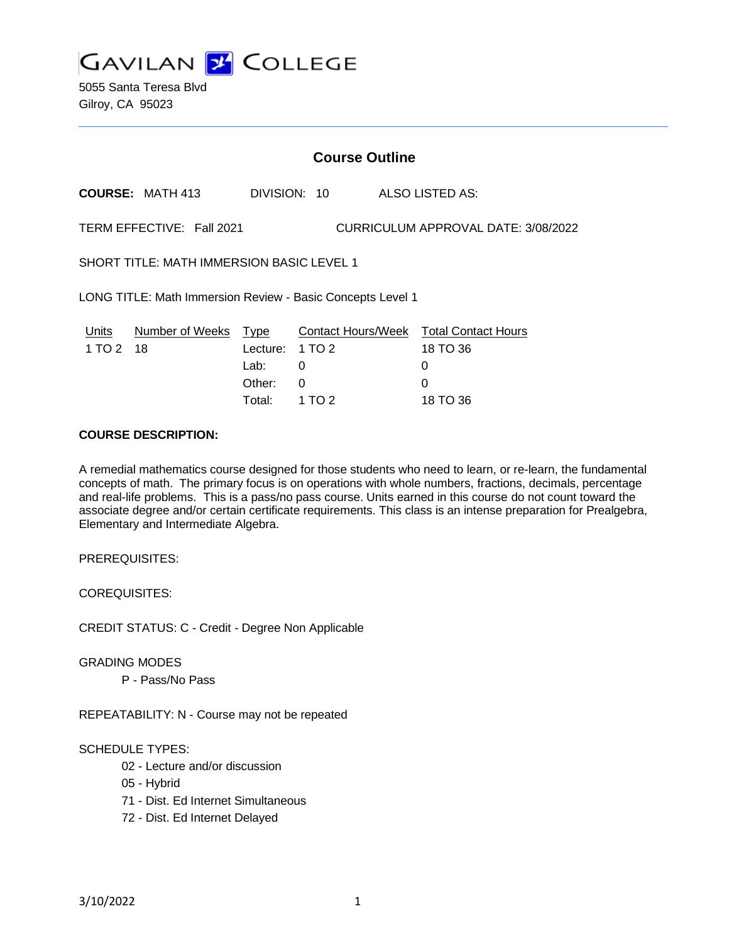**GAVILAN 2 COLLEGE** 

5055 Santa Teresa Blvd Gilroy, CA 95023

### **Course Outline**

**COURSE:** MATH 413 DIVISION: 10 ALSO LISTED AS:

TERM EFFECTIVE: Fall 2021 CURRICULUM APPROVAL DATE: 3/08/2022

SHORT TITLE: MATH IMMERSION BASIC LEVEL 1

LONG TITLE: Math Immersion Review - Basic Concepts Level 1

|           | Units Number of Weeks Type |                 | <b>Contact Hours/Week Total Contact Hours</b> |              |
|-----------|----------------------------|-----------------|-----------------------------------------------|--------------|
| 1 TO 2 18 |                            | Lecture: 1 TO 2 |                                               | 18 TO 36     |
|           |                            | Lab: L          |                                               | $\mathbf{U}$ |
|           |                            | Other: 0        |                                               | $\Omega$     |
|           |                            | Total: 1 TO 2   |                                               | 18 TO 36     |

# **COURSE DESCRIPTION:**

A remedial mathematics course designed for those students who need to learn, or re-learn, the fundamental concepts of math. The primary focus is on operations with whole numbers, fractions, decimals, percentage and real-life problems. This is a pass/no pass course. Units earned in this course do not count toward the associate degree and/or certain certificate requirements. This class is an intense preparation for Prealgebra, Elementary and Intermediate Algebra.

PREREQUISITES:

COREQUISITES:

CREDIT STATUS: C - Credit - Degree Non Applicable

GRADING MODES

P - Pass/No Pass

REPEATABILITY: N - Course may not be repeated

### SCHEDULE TYPES:

- 02 Lecture and/or discussion
- 05 Hybrid
- 71 Dist. Ed Internet Simultaneous
- 72 Dist. Ed Internet Delayed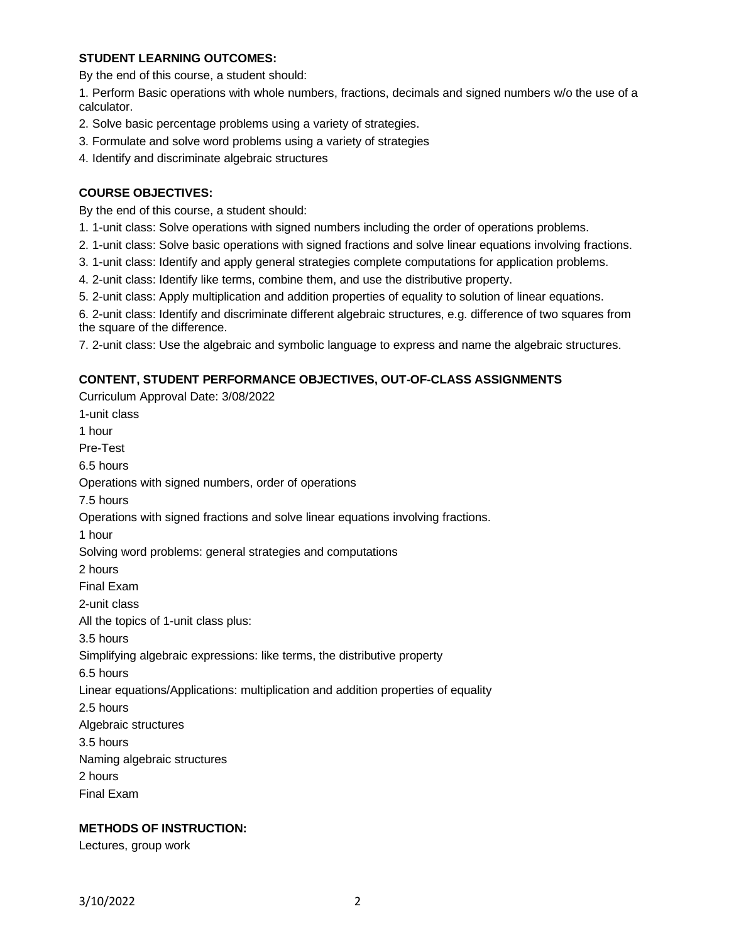### **STUDENT LEARNING OUTCOMES:**

By the end of this course, a student should:

1. Perform Basic operations with whole numbers, fractions, decimals and signed numbers w/o the use of a calculator.

- 2. Solve basic percentage problems using a variety of strategies.
- 3. Formulate and solve word problems using a variety of strategies
- 4. Identify and discriminate algebraic structures

### **COURSE OBJECTIVES:**

By the end of this course, a student should:

- 1. 1-unit class: Solve operations with signed numbers including the order of operations problems.
- 2. 1-unit class: Solve basic operations with signed fractions and solve linear equations involving fractions.
- 3. 1-unit class: Identify and apply general strategies complete computations for application problems.
- 4. 2-unit class: Identify like terms, combine them, and use the distributive property.
- 5. 2-unit class: Apply multiplication and addition properties of equality to solution of linear equations.

6. 2-unit class: Identify and discriminate different algebraic structures, e.g. difference of two squares from the square of the difference.

7. 2-unit class: Use the algebraic and symbolic language to express and name the algebraic structures.

### **CONTENT, STUDENT PERFORMANCE OBJECTIVES, OUT-OF-CLASS ASSIGNMENTS**

Curriculum Approval Date: 3/08/2022 1-unit class 1 hour Pre-Test 6.5 hours Operations with signed numbers, order of operations 7.5 hours Operations with signed fractions and solve linear equations involving fractions. 1 hour Solving word problems: general strategies and computations 2 hours Final Exam 2-unit class All the topics of 1-unit class plus: 3.5 hours Simplifying algebraic expressions: like terms, the distributive property 6.5 hours Linear equations/Applications: multiplication and addition properties of equality 2.5 hours Algebraic structures 3.5 hours Naming algebraic structures 2 hours Final Exam

# **METHODS OF INSTRUCTION:**

Lectures, group work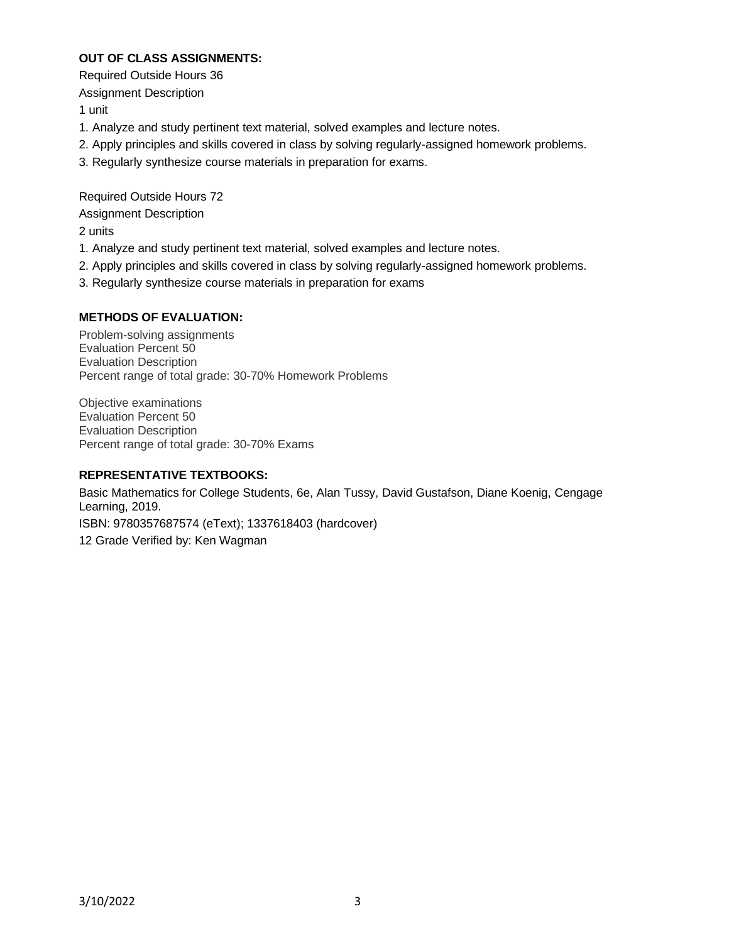## **OUT OF CLASS ASSIGNMENTS:**

Required Outside Hours 36

Assignment Description

1 unit

- 1. Analyze and study pertinent text material, solved examples and lecture notes.
- 2. Apply principles and skills covered in class by solving regularly-assigned homework problems.
- 3. Regularly synthesize course materials in preparation for exams.

Required Outside Hours 72 Assignment Description 2 units

- 1. Analyze and study pertinent text material, solved examples and lecture notes.
- 2. Apply principles and skills covered in class by solving regularly-assigned homework problems.
- 3. Regularly synthesize course materials in preparation for exams

# **METHODS OF EVALUATION:**

Problem-solving assignments Evaluation Percent 50 Evaluation Description Percent range of total grade: 30-70% Homework Problems

Objective examinations Evaluation Percent 50 Evaluation Description Percent range of total grade: 30-70% Exams

### **REPRESENTATIVE TEXTBOOKS:**

Basic Mathematics for College Students, 6e, Alan Tussy, David Gustafson, Diane Koenig, Cengage Learning, 2019. ISBN: 9780357687574 (eText); 1337618403 (hardcover) 12 Grade Verified by: Ken Wagman